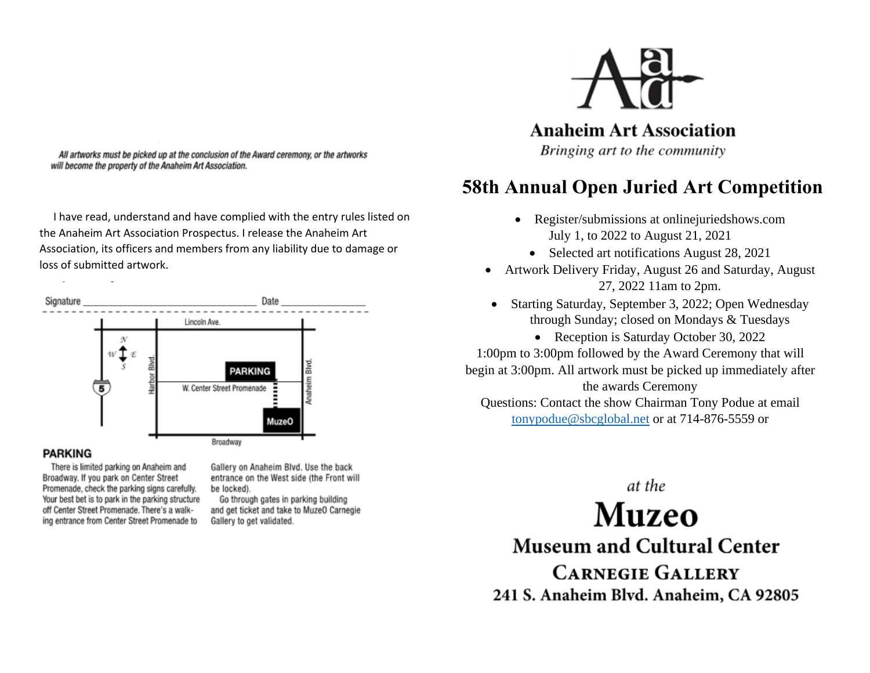

**Anaheim Art Association** 

Bringing art to the community

# **58th Annual Open Juried Art Competition**

- Register/submissions at onlinejuriedshows.com July 1, to 2022 to August 21, 2021
	- Selected art notifications August 28, 2021
- Artwork Delivery Friday, August 26 and Saturday, August 27, 2022 11am to 2pm.
- Starting Saturday, September 3, 2022; Open Wednesday through Sunday; closed on Mondays & Tuesdays

• Reception is Saturday October 30, 2022 1:00pm to 3:00pm followed by the Award Ceremony that will begin at 3:00pm. All artwork must be picked up immediately after the awards Ceremony

Questions: Contact the show Chairman Tony Podue at email [tonypodue@sbcglobal.net](mailto:tonypodue@sbcglobal.net) or at 714-876-5559 or

> at the **Muzeo**

**Museum and Cultural Center CARNEGIE GALLERY** 241 S. Anaheim Blvd. Anaheim, CA 92805

All artworks must be picked up at the conclusion of the Award ceremony, or the artworks will become the property of the Anaheim Art Association.

 I have read, understand and have complied with the entry rules listed on the Anaheim Art Association Prospectus. I release the Anaheim Art Association, its officers and members from any liability due to damage or loss of submitted artwork.



## **PARKING**

There is limited parking on Anaheim and Broadway. If you park on Center Street Promenade, check the parking signs carefully. Your best bet is to park in the parking structure off Center Street Promenade. There's a walking entrance from Center Street Promenade to

Gallery on Anaheim Blvd. Use the back entrance on the West side (the Front will be locked).

Go through gates in parking building and get ticket and take to MuzeO Carnegie Gallery to get validated.